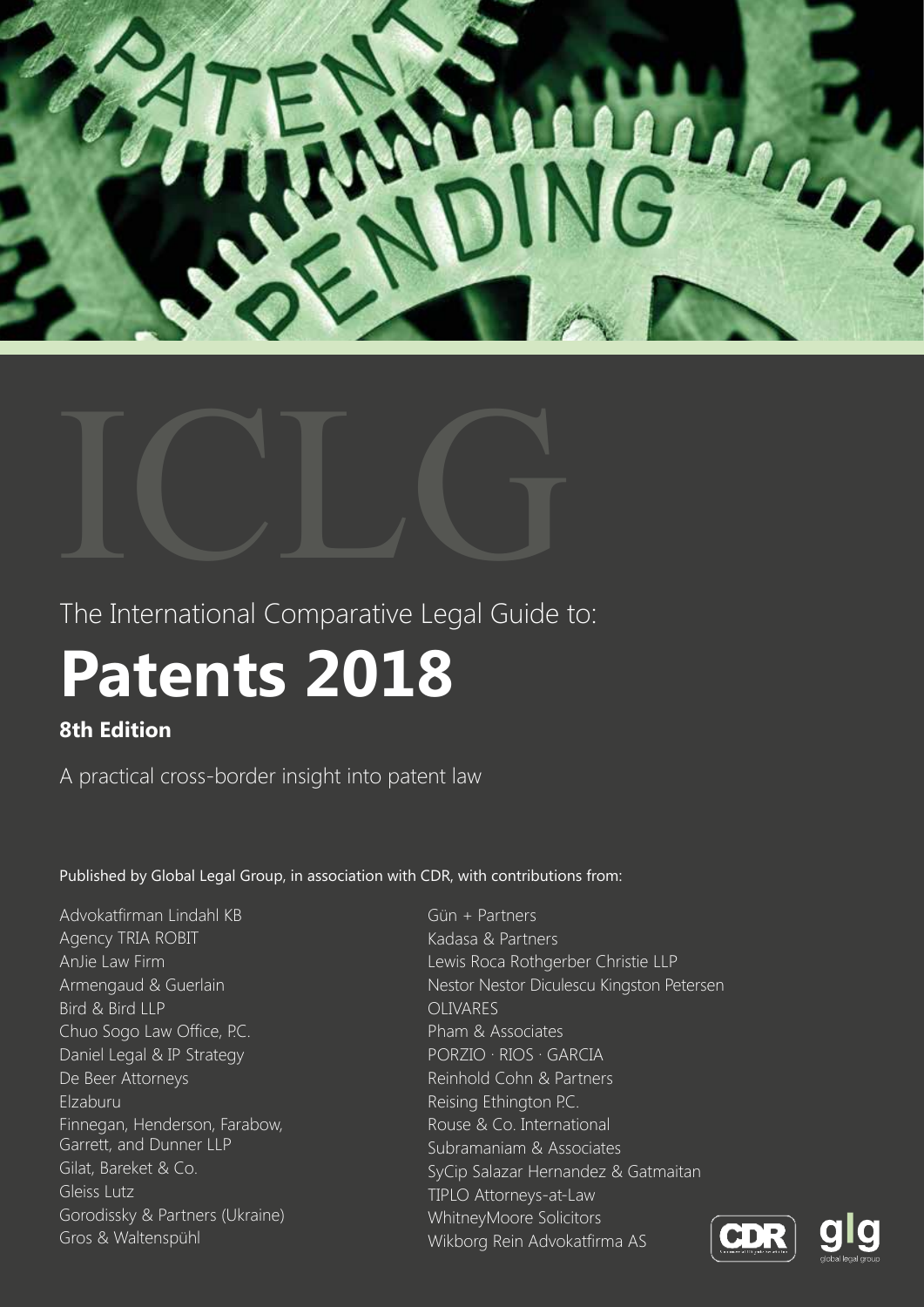



The International Comparative Legal Guide to:

# **Patents 2018**

# **8th Edition**

A practical cross-border insight into patent law

Published by Global Legal Group, in association with CDR, with contributions from:

Advokatfirman Lindahl KB Agency TRIA ROBIT AnJie Law Firm Armengaud & Guerlain Bird & Bird LLP Chuo Sogo Law Office, P.C. Daniel Legal & IP Strategy De Beer Attorneys Elzaburu Finnegan, Henderson, Farabow, Garrett, and Dunner LLP Gilat, Bareket & Co. Gleiss Lutz Gorodissky & Partners (Ukraine) Gros & Waltenspühl

Gün + Partners Kadasa & Partners Lewis Roca Rothgerber Christie LLP Nestor Nestor Diculescu Kingston Petersen OLIVARES Pham & Associates PORZIO ∙ RIOS ∙ GARCIA Reinhold Cohn & Partners Reising Ethington P.C. Rouse & Co. International Subramaniam & Associates SyCip Salazar Hernandez & Gatmaitan TIPLO Attorneys-at-Law WhitneyMoore Solicitors Wikborg Rein Advokatfirma AS



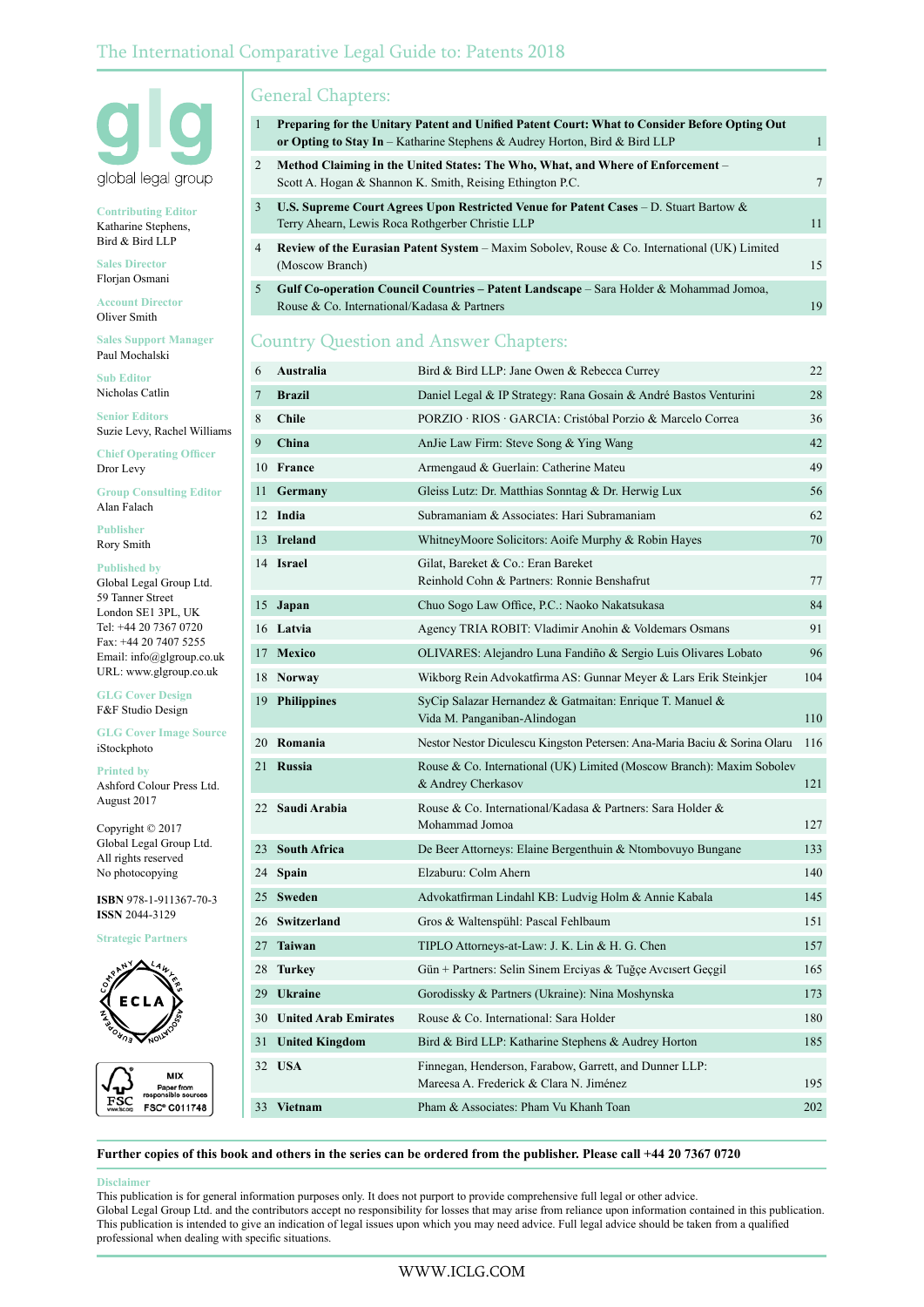

**Contributing Editor** Katharine Stephens, Bird & Bird LLP

**Sales Director** Florjan Osmani

**Account Director** Oliver Smith

**Sales Support Manager** Paul Mochalski

**Sub Editor** Nicholas Catlin

**Senior Editors** Suzie Levy, Rachel Williams

**Chief Operating Officer** Dror Levy

**Group Consulting Editor** Alan Falach

**Publisher** Rory Smith

**Published by** Global Legal Group Ltd. 59 Tanner Street London SE1 3PL, UK Tel: +44 20 7367 0720 Fax: +44 20 7407 5255 Email: info@glgroup.co.uk URL: www.glgroup.co.uk

**GLG Cover Design** F&F Studio Design

**GLG Cover Image Source** iStockphoto

**Printed by** Ashford Colour Press Ltd. August 2017

Copyright © 2017 Global Legal Group Ltd. All rights reserved No photocopying

**ISBN** 978-1-911367-70-3 **ISSN** 2044-3129

**Strategic Partners**





# General Chapters:

| 1 | Preparing for the Unitary Patent and Unified Patent Court: What to Consider Before Opting Out<br>or Opting to Stay In – Katharine Stephens & Audrey Horton, Bird & Bird LLP |     |
|---|-----------------------------------------------------------------------------------------------------------------------------------------------------------------------------|-----|
| 2 | Method Claiming in the United States: The Who, What, and Where of Enforcement –<br>Scott A. Hogan & Shannon K. Smith, Reising Ethington P.C.                                |     |
| 3 | <b>U.S. Supreme Court Agrees Upon Restricted Venue for Patent Cases – D. Stuart Bartow &amp;</b><br>Terry Ahearn, Lewis Roca Rothgerber Christie LLP                        | 11  |
| 4 | <b>Review of the Eurasian Patent System – Maxim Sobolev, Rouse &amp; Co. International (UK) Limited</b><br>(Moscow Branch)                                                  | 15  |
| 5 | Gulf Co-operation Council Countries - Patent Landscape - Sara Holder & Mohammad Jomoa,<br>Rouse & Co. International/Kadasa & Partners                                       | 1 G |

# Country Question and Answer Chapters:

| 6              | Australia                   | Bird & Bird LLP: Jane Owen & Rebecca Currey                                                       | 22  |
|----------------|-----------------------------|---------------------------------------------------------------------------------------------------|-----|
| $\overline{7}$ | <b>Brazil</b>               | Daniel Legal & IP Strategy: Rana Gosain & André Bastos Venturini                                  | 28  |
| 8              | <b>Chile</b>                | PORZIO · RIOS · GARCIA: Cristóbal Porzio & Marcelo Correa                                         | 36  |
| 9              | China                       | AnJie Law Firm: Steve Song & Ying Wang                                                            | 42  |
|                | 10 France                   | Armengaud & Guerlain: Catherine Mateu                                                             | 49  |
| 11             | Germany                     | Gleiss Lutz: Dr. Matthias Sonntag & Dr. Herwig Lux                                                | 56  |
|                | 12 India                    | Subramaniam & Associates: Hari Subramaniam                                                        | 62  |
| 13             | Ireland                     | WhitneyMoore Solicitors: Aoife Murphy & Robin Hayes                                               | 70  |
|                | 14 Israel                   | Gilat, Bareket & Co.: Eran Bareket<br>Reinhold Cohn & Partners: Ronnie Benshafrut                 | 77  |
| 15             | Japan                       | Chuo Sogo Law Office, P.C.: Naoko Nakatsukasa                                                     | 84  |
|                | 16 Latvia                   | Agency TRIA ROBIT: Vladimir Anohin & Voldemars Osmans                                             | 91  |
|                | 17 Mexico                   | OLIVARES: Alejandro Luna Fandiño & Sergio Luis Olivares Lobato                                    | 96  |
|                | 18 Norway                   | Wikborg Rein Advokatfirma AS: Gunnar Meyer & Lars Erik Steinkjer                                  | 104 |
| 19             | <b>Philippines</b>          | SyCip Salazar Hernandez & Gatmaitan: Enrique T. Manuel &<br>Vida M. Panganiban-Alindogan          | 110 |
|                | 20 Romania                  | Nestor Nestor Diculescu Kingston Petersen: Ana-Maria Baciu & Sorina Olaru                         | 116 |
| 21             | <b>Russia</b>               | Rouse & Co. International (UK) Limited (Moscow Branch): Maxim Sobolev<br>& Andrey Cherkasov       | 121 |
| 22             | Saudi Arabia                | Rouse & Co. International/Kadasa & Partners: Sara Holder &<br>Mohammad Jomoa                      | 127 |
| 23             | <b>South Africa</b>         | De Beer Attorneys: Elaine Bergenthuin & Ntombovuyo Bungane                                        | 133 |
| 24             | <b>Spain</b>                | Elzaburu: Colm Ahern                                                                              | 140 |
|                | 25 Sweden                   | Advokatfirman Lindahl KB: Ludvig Holm & Annie Kabala                                              | 145 |
|                | 26 Switzerland              | Gros & Waltenspühl: Pascal Fehlbaum                                                               | 151 |
|                | 27 Taiwan                   | TIPLO Attorneys-at-Law: J. K. Lin & H. G. Chen                                                    | 157 |
| 28             | Turkey                      | Gün + Partners: Selin Sinem Erciyas & Tuğçe Avcısert Geçgil                                       | 165 |
| 29             | <b>Ukraine</b>              | Gorodissky & Partners (Ukraine): Nina Moshynska                                                   | 173 |
| 30             | <b>United Arab Emirates</b> | Rouse & Co. International: Sara Holder                                                            | 180 |
| 31             | <b>United Kingdom</b>       | Bird & Bird LLP: Katharine Stephens & Audrey Horton                                               | 185 |
|                | 32 USA                      | Finnegan, Henderson, Farabow, Garrett, and Dunner LLP:<br>Mareesa A. Frederick & Clara N. Jiménez | 195 |
|                | 33 Vietnam                  | Pham & Associates: Pham Vu Khanh Toan                                                             | 202 |

**Further copies of this book and others in the series can be ordered from the publisher. Please call +44 20 7367 0720**

#### **Disclaimer**

This publication is for general information purposes only. It does not purport to provide comprehensive full legal or other advice. Global Legal Group Ltd. and the contributors accept no responsibility for losses that may arise from reliance upon information contained in this publication. This publication is intended to give an indication of legal issues upon which you may need advice. Full legal advice should be taken from a qualified professional when dealing with specific situations.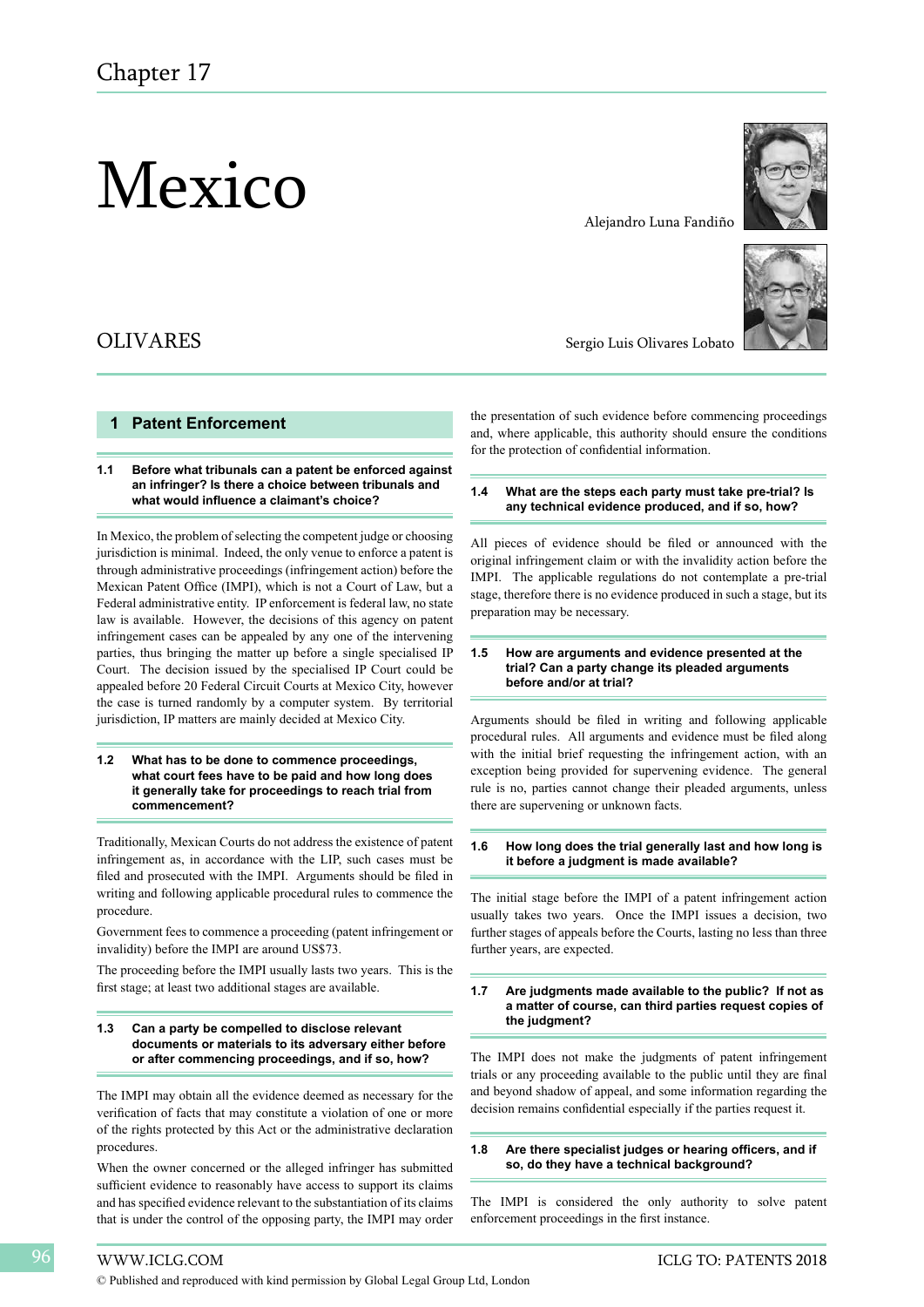# Mexico

# OLIVARES

## **1 Patent Enforcement**

#### **1.1 Before what tribunals can a patent be enforced against an infringer? Is there a choice between tribunals and what would influence a claimant's choice?**

In Mexico, the problem of selecting the competent judge or choosing jurisdiction is minimal. Indeed, the only venue to enforce a patent is through administrative proceedings (infringement action) before the Mexican Patent Office (IMPI), which is not a Court of Law, but a Federal administrative entity. IP enforcement is federal law, no state law is available. However, the decisions of this agency on patent infringement cases can be appealed by any one of the intervening parties, thus bringing the matter up before a single specialised IP Court. The decision issued by the specialised IP Court could be appealed before 20 Federal Circuit Courts at Mexico City, however the case is turned randomly by a computer system. By territorial jurisdiction, IP matters are mainly decided at Mexico City.

#### **1.2 What has to be done to commence proceedings, what court fees have to be paid and how long does it generally take for proceedings to reach trial from commencement?**

Traditionally, Mexican Courts do not address the existence of patent infringement as, in accordance with the LIP, such cases must be filed and prosecuted with the IMPI. Arguments should be filed in writing and following applicable procedural rules to commence the procedure.

Government fees to commence a proceeding (patent infringement or invalidity) before the IMPI are around US\$73.

The proceeding before the IMPI usually lasts two years. This is the first stage; at least two additional stages are available.

#### **1.3 Can a party be compelled to disclose relevant documents or materials to its adversary either before or after commencing proceedings, and if so, how?**

The IMPI may obtain all the evidence deemed as necessary for the verification of facts that may constitute a violation of one or more of the rights protected by this Act or the administrative declaration procedures.

When the owner concerned or the alleged infringer has submitted sufficient evidence to reasonably have access to support its claims and has specified evidence relevant to the substantiation of its claims that is under the control of the opposing party, the IMPI may order



#### Alejandro Luna Fandiño



Sergio Luis Olivares Lobato

the presentation of such evidence before commencing proceedings and, where applicable, this authority should ensure the conditions for the protection of confidential information.

#### **1.4 What are the steps each party must take pre-trial? Is any technical evidence produced, and if so, how?**

All pieces of evidence should be filed or announced with the original infringement claim or with the invalidity action before the IMPI. The applicable regulations do not contemplate a pre-trial stage, therefore there is no evidence produced in such a stage, but its preparation may be necessary.

#### **1.5 How are arguments and evidence presented at the trial? Can a party change its pleaded arguments before and/or at trial?**

Arguments should be filed in writing and following applicable procedural rules. All arguments and evidence must be filed along with the initial brief requesting the infringement action, with an exception being provided for supervening evidence. The general rule is no, parties cannot change their pleaded arguments, unless there are supervening or unknown facts.

#### **1.6 How long does the trial generally last and how long is it before a judgment is made available?**

The initial stage before the IMPI of a patent infringement action usually takes two years. Once the IMPI issues a decision, two further stages of appeals before the Courts, lasting no less than three further years, are expected.

#### **1.7 Are judgments made available to the public? If not as a matter of course, can third parties request copies of the judgment?**

The IMPI does not make the judgments of patent infringement trials or any proceeding available to the public until they are final and beyond shadow of appeal, and some information regarding the decision remains confidential especially if the parties request it.

#### **1.8 Are there specialist judges or hearing officers, and if so, do they have a technical background?**

The IMPI is considered the only authority to solve patent enforcement proceedings in the first instance.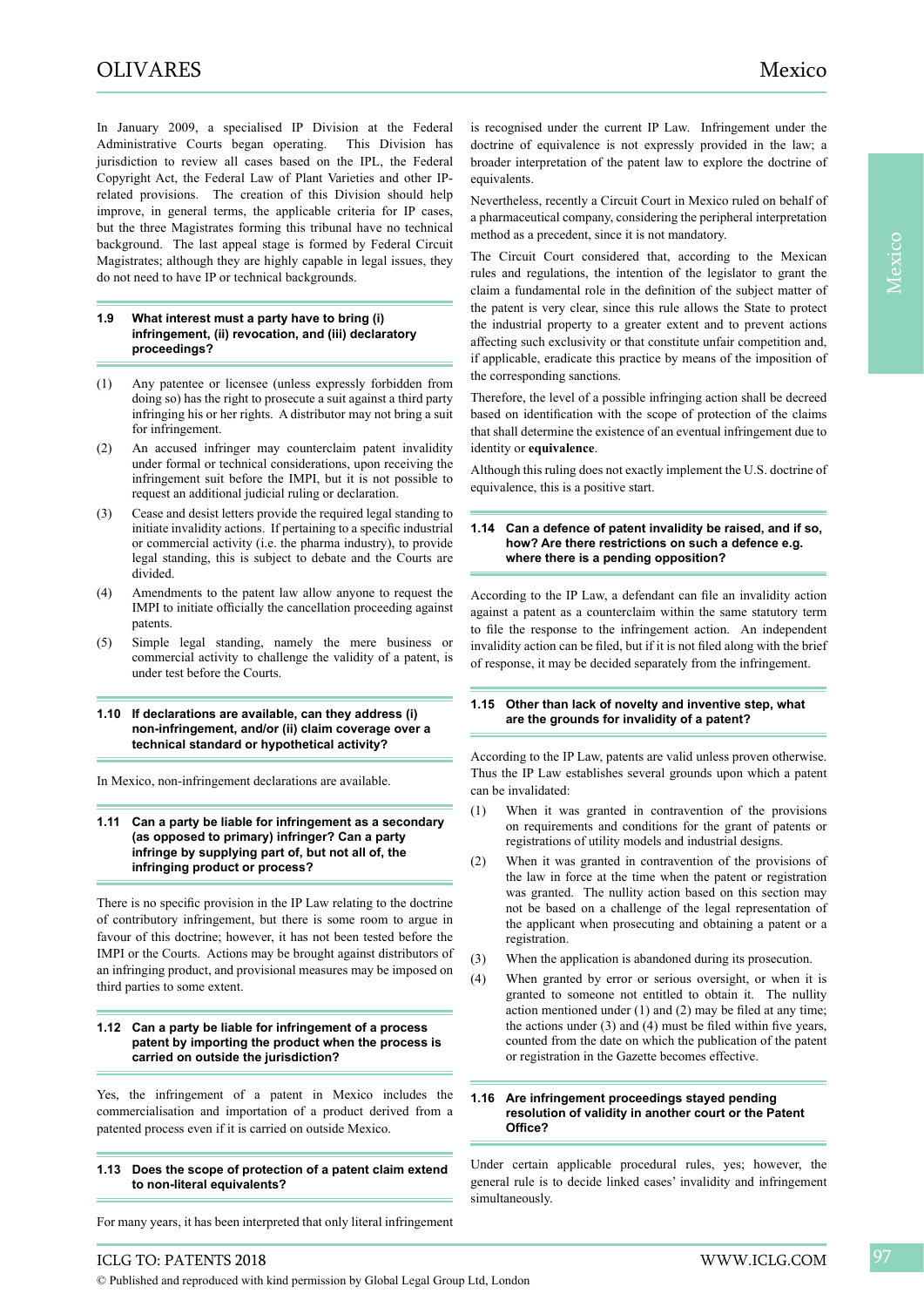In January 2009, a specialised IP Division at the Federal Administrative Courts began operating. This Division has jurisdiction to review all cases based on the IPL, the Federal Copyright Act, the Federal Law of Plant Varieties and other IPrelated provisions. The creation of this Division should help improve, in general terms, the applicable criteria for IP cases, but the three Magistrates forming this tribunal have no technical background. The last appeal stage is formed by Federal Circuit Magistrates; although they are highly capable in legal issues, they do not need to have IP or technical backgrounds.

#### **1.9 What interest must a party have to bring (i) infringement, (ii) revocation, and (iii) declaratory proceedings?**

- (1) Any patentee or licensee (unless expressly forbidden from doing so) has the right to prosecute a suit against a third party infringing his or her rights. A distributor may not bring a suit for infringement.
- (2) An accused infringer may counterclaim patent invalidity under formal or technical considerations, upon receiving the infringement suit before the IMPI, but it is not possible to request an additional judicial ruling or declaration.
- (3) Cease and desist letters provide the required legal standing to initiate invalidity actions. If pertaining to a specific industrial or commercial activity (i.e. the pharma industry), to provide legal standing, this is subject to debate and the Courts are divided.
- (4) Amendments to the patent law allow anyone to request the IMPI to initiate officially the cancellation proceeding against patents.
- (5) Simple legal standing, namely the mere business or commercial activity to challenge the validity of a patent, is under test before the Courts.

#### **1.10 If declarations are available, can they address (i) non-infringement, and/or (ii) claim coverage over a technical standard or hypothetical activity?**

In Mexico, non-infringement declarations are available.

#### **1.11 Can a party be liable for infringement as a secondary (as opposed to primary) infringer? Can a party infringe by supplying part of, but not all of, the infringing product or process?**

There is no specific provision in the IP Law relating to the doctrine of contributory infringement, but there is some room to argue in favour of this doctrine; however, it has not been tested before the IMPI or the Courts. Actions may be brought against distributors of an infringing product, and provisional measures may be imposed on third parties to some extent.

#### **1.12 Can a party be liable for infringement of a process patent by importing the product when the process is carried on outside the jurisdiction?**

Yes, the infringement of a patent in Mexico includes the commercialisation and importation of a product derived from a patented process even if it is carried on outside Mexico.

#### **1.13 Does the scope of protection of a patent claim extend to non-literal equivalents?**

For many years, it has been interpreted that only literal infringement

is recognised under the current IP Law. Infringement under the doctrine of equivalence is not expressly provided in the law; a broader interpretation of the patent law to explore the doctrine of equivalents.

Nevertheless, recently a Circuit Court in Mexico ruled on behalf of a pharmaceutical company, considering the peripheral interpretation method as a precedent, since it is not mandatory.

The Circuit Court considered that, according to the Mexican rules and regulations, the intention of the legislator to grant the claim a fundamental role in the definition of the subject matter of the patent is very clear, since this rule allows the State to protect the industrial property to a greater extent and to prevent actions affecting such exclusivity or that constitute unfair competition and, if applicable, eradicate this practice by means of the imposition of the corresponding sanctions.

Therefore, the level of a possible infringing action shall be decreed based on identification with the scope of protection of the claims that shall determine the existence of an eventual infringement due to identity or **equivalence**.

Although this ruling does not exactly implement the U.S. doctrine of equivalence, this is a positive start.

#### **1.14 Can a defence of patent invalidity be raised, and if so, how? Are there restrictions on such a defence e.g. where there is a pending opposition?**

According to the IP Law, a defendant can file an invalidity action against a patent as a counterclaim within the same statutory term to file the response to the infringement action. An independent invalidity action can be filed, but if it is not filed along with the brief of response, it may be decided separately from the infringement.

#### **1.15 Other than lack of novelty and inventive step, what are the grounds for invalidity of a patent?**

According to the IP Law, patents are valid unless proven otherwise. Thus the IP Law establishes several grounds upon which a patent can be invalidated:

- (1) When it was granted in contravention of the provisions on requirements and conditions for the grant of patents or registrations of utility models and industrial designs.
- (2) When it was granted in contravention of the provisions of the law in force at the time when the patent or registration was granted. The nullity action based on this section may not be based on a challenge of the legal representation of the applicant when prosecuting and obtaining a patent or a registration.
- (3) When the application is abandoned during its prosecution.
- (4) When granted by error or serious oversight, or when it is granted to someone not entitled to obtain it. The nullity action mentioned under (1) and (2) may be filed at any time; the actions under (3) and (4) must be filed within five years, counted from the date on which the publication of the patent or registration in the Gazette becomes effective.

#### **1.16 Are infringement proceedings stayed pending resolution of validity in another court or the Patent Office?**

Under certain applicable procedural rules, yes; however, the general rule is to decide linked cases' invalidity and infringement simultaneously.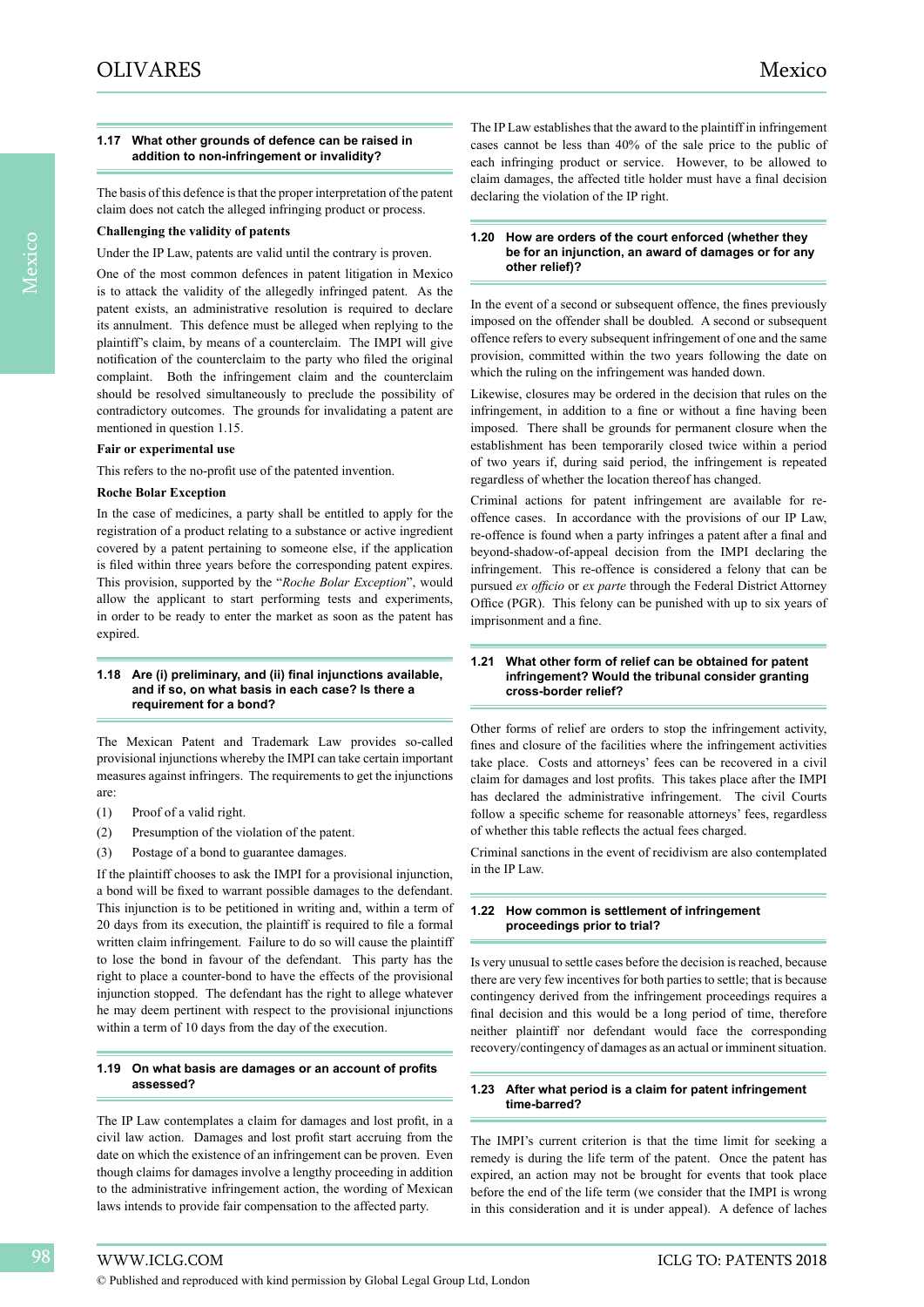#### **1.17 What other grounds of defence can be raised in addition to non-infringement or invalidity?**

The basis of this defence is that the proper interpretation of the patent claim does not catch the alleged infringing product or process.

## **Challenging the validity of patents**

Under the IP Law, patents are valid until the contrary is proven.

One of the most common defences in patent litigation in Mexico is to attack the validity of the allegedly infringed patent. As the patent exists, an administrative resolution is required to declare its annulment. This defence must be alleged when replying to the plaintiff's claim, by means of a counterclaim. The IMPI will give notification of the counterclaim to the party who filed the original complaint. Both the infringement claim and the counterclaim should be resolved simultaneously to preclude the possibility of contradictory outcomes. The grounds for invalidating a patent are mentioned in question 1.15.

#### **Fair or experimental use**

This refers to the no-profit use of the patented invention.

#### **Roche Bolar Exception**

In the case of medicines, a party shall be entitled to apply for the registration of a product relating to a substance or active ingredient covered by a patent pertaining to someone else, if the application is filed within three years before the corresponding patent expires. This provision, supported by the "*Roche Bolar Exception*", would allow the applicant to start performing tests and experiments, in order to be ready to enter the market as soon as the patent has expired.

#### **1.18 Are (i) preliminary, and (ii) final injunctions available, and if so, on what basis in each case? Is there a requirement for a bond?**

The Mexican Patent and Trademark Law provides so-called provisional injunctions whereby the IMPI can take certain important measures against infringers. The requirements to get the injunctions are:

- (1) Proof of a valid right.
- (2) Presumption of the violation of the patent.
- (3) Postage of a bond to guarantee damages.

If the plaintiff chooses to ask the IMPI for a provisional injunction, a bond will be fixed to warrant possible damages to the defendant. This injunction is to be petitioned in writing and, within a term of 20 days from its execution, the plaintiff is required to file a formal written claim infringement. Failure to do so will cause the plaintiff to lose the bond in favour of the defendant. This party has the right to place a counter-bond to have the effects of the provisional injunction stopped. The defendant has the right to allege whatever he may deem pertinent with respect to the provisional injunctions within a term of 10 days from the day of the execution.

#### **1.19 On what basis are damages or an account of profits assessed?**

The IP Law contemplates a claim for damages and lost profit, in a civil law action. Damages and lost profit start accruing from the date on which the existence of an infringement can be proven. Even though claims for damages involve a lengthy proceeding in addition to the administrative infringement action, the wording of Mexican laws intends to provide fair compensation to the affected party.

The IP Law establishes that the award to the plaintiff in infringement cases cannot be less than 40% of the sale price to the public of each infringing product or service. However, to be allowed to claim damages, the affected title holder must have a final decision declaring the violation of the IP right.

#### **1.20 How are orders of the court enforced (whether they be for an injunction, an award of damages or for any other relief)?**

In the event of a second or subsequent offence, the fines previously imposed on the offender shall be doubled. A second or subsequent offence refers to every subsequent infringement of one and the same provision, committed within the two years following the date on which the ruling on the infringement was handed down.

Likewise, closures may be ordered in the decision that rules on the infringement, in addition to a fine or without a fine having been imposed. There shall be grounds for permanent closure when the establishment has been temporarily closed twice within a period of two years if, during said period, the infringement is repeated regardless of whether the location thereof has changed.

Criminal actions for patent infringement are available for reoffence cases. In accordance with the provisions of our IP Law, re-offence is found when a party infringes a patent after a final and beyond-shadow-of-appeal decision from the IMPI declaring the infringement. This re-offence is considered a felony that can be pursued *ex officio* or *ex parte* through the Federal District Attorney Office (PGR). This felony can be punished with up to six years of imprisonment and a fine.

#### **1.21 What other form of relief can be obtained for patent infringement? Would the tribunal consider granting cross-border relief?**

Other forms of relief are orders to stop the infringement activity, fines and closure of the facilities where the infringement activities take place. Costs and attorneys' fees can be recovered in a civil claim for damages and lost profits. This takes place after the IMPI has declared the administrative infringement. The civil Courts follow a specific scheme for reasonable attorneys' fees, regardless of whether this table reflects the actual fees charged.

Criminal sanctions in the event of recidivism are also contemplated in the IP Law.

#### **1.22 How common is settlement of infringement proceedings prior to trial?**

Is very unusual to settle cases before the decision is reached, because there are very few incentives for both parties to settle; that is because contingency derived from the infringement proceedings requires a final decision and this would be a long period of time, therefore neither plaintiff nor defendant would face the corresponding recovery/contingency of damages as an actual or imminent situation.

#### **1.23 After what period is a claim for patent infringement time-barred?**

The IMPI's current criterion is that the time limit for seeking a remedy is during the life term of the patent. Once the patent has expired, an action may not be brought for events that took place before the end of the life term (we consider that the IMPI is wrong in this consideration and it is under appeal). A defence of laches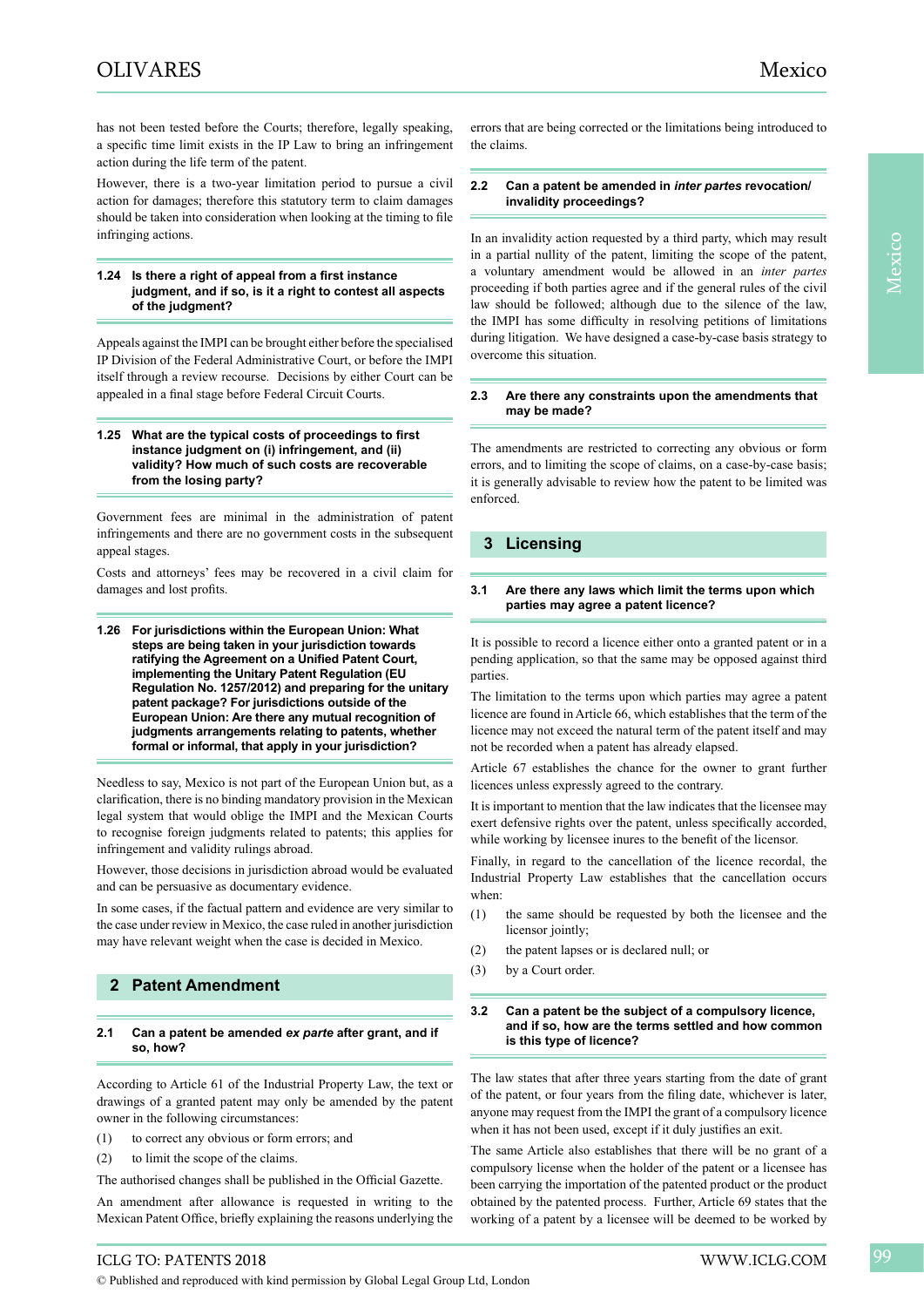has not been tested before the Courts; therefore, legally speaking, a specific time limit exists in the IP Law to bring an infringement action during the life term of the patent.

However, there is a two-year limitation period to pursue a civil action for damages; therefore this statutory term to claim damages should be taken into consideration when looking at the timing to file infringing actions.

#### **1.24 Is there a right of appeal from a first instance judgment, and if so, is it a right to contest all aspects of the judgment?**

Appeals against the IMPI can be brought either before the specialised IP Division of the Federal Administrative Court, or before the IMPI itself through a review recourse. Decisions by either Court can be appealed in a final stage before Federal Circuit Courts.

#### **1.25 What are the typical costs of proceedings to first instance judgment on (i) infringement, and (ii) validity? How much of such costs are recoverable from the losing party?**

Government fees are minimal in the administration of patent infringements and there are no government costs in the subsequent appeal stages.

Costs and attorneys' fees may be recovered in a civil claim for damages and lost profits.

**1.26 For jurisdictions within the European Union: What steps are being taken in your jurisdiction towards ratifying the Agreement on a Unified Patent Court, implementing the Unitary Patent Regulation (EU Regulation No. 1257/2012) and preparing for the unitary patent package? For jurisdictions outside of the European Union: Are there any mutual recognition of judgments arrangements relating to patents, whether formal or informal, that apply in your jurisdiction?**

Needless to say, Mexico is not part of the European Union but, as a clarification, there is no binding mandatory provision in the Mexican legal system that would oblige the IMPI and the Mexican Courts to recognise foreign judgments related to patents; this applies for infringement and validity rulings abroad.

However, those decisions in jurisdiction abroad would be evaluated and can be persuasive as documentary evidence.

In some cases, if the factual pattern and evidence are very similar to the case under review in Mexico, the case ruled in another jurisdiction may have relevant weight when the case is decided in Mexico.

# **2 Patent Amendment**

#### **2.1 Can a patent be amended** *ex parte* **after grant, and if so, how?**

According to Article 61 of the Industrial Property Law, the text or drawings of a granted patent may only be amended by the patent owner in the following circumstances:

- (1) to correct any obvious or form errors; and
- (2) to limit the scope of the claims.

The authorised changes shall be published in the Official Gazette.

An amendment after allowance is requested in writing to the Mexican Patent Office, briefly explaining the reasons underlying the

errors that are being corrected or the limitations being introduced to the claims.

#### **2.2 Can a patent be amended in** *inter partes* **revocation/ invalidity proceedings?**

In an invalidity action requested by a third party, which may result in a partial nullity of the patent, limiting the scope of the patent, a voluntary amendment would be allowed in an *inter partes* proceeding if both parties agree and if the general rules of the civil law should be followed; although due to the silence of the law, the IMPI has some difficulty in resolving petitions of limitations during litigation. We have designed a case-by-case basis strategy to overcome this situation.

#### **2.3 Are there any constraints upon the amendments that may be made?**

The amendments are restricted to correcting any obvious or form errors, and to limiting the scope of claims, on a case-by-case basis; it is generally advisable to review how the patent to be limited was enforced.

## **3 Licensing**

#### **3.1 Are there any laws which limit the terms upon which parties may agree a patent licence?**

It is possible to record a licence either onto a granted patent or in a pending application, so that the same may be opposed against third parties.

The limitation to the terms upon which parties may agree a patent licence are found in Article 66, which establishes that the term of the licence may not exceed the natural term of the patent itself and may not be recorded when a patent has already elapsed.

Article 67 establishes the chance for the owner to grant further licences unless expressly agreed to the contrary.

It is important to mention that the law indicates that the licensee may exert defensive rights over the patent, unless specifically accorded, while working by licensee inures to the benefit of the licensor.

Finally, in regard to the cancellation of the licence recordal, the Industrial Property Law establishes that the cancellation occurs when:

- (1) the same should be requested by both the licensee and the licensor jointly;
- (2) the patent lapses or is declared null; or
- (3) by a Court order.

#### **3.2 Can a patent be the subject of a compulsory licence, and if so, how are the terms settled and how common is this type of licence?**

The law states that after three years starting from the date of grant of the patent, or four years from the filing date, whichever is later, anyone may request from the IMPI the grant of a compulsory licence when it has not been used, except if it duly justifies an exit.

The same Article also establishes that there will be no grant of a compulsory license when the holder of the patent or a licensee has been carrying the importation of the patented product or the product obtained by the patented process. Further, Article 69 states that the working of a patent by a licensee will be deemed to be worked by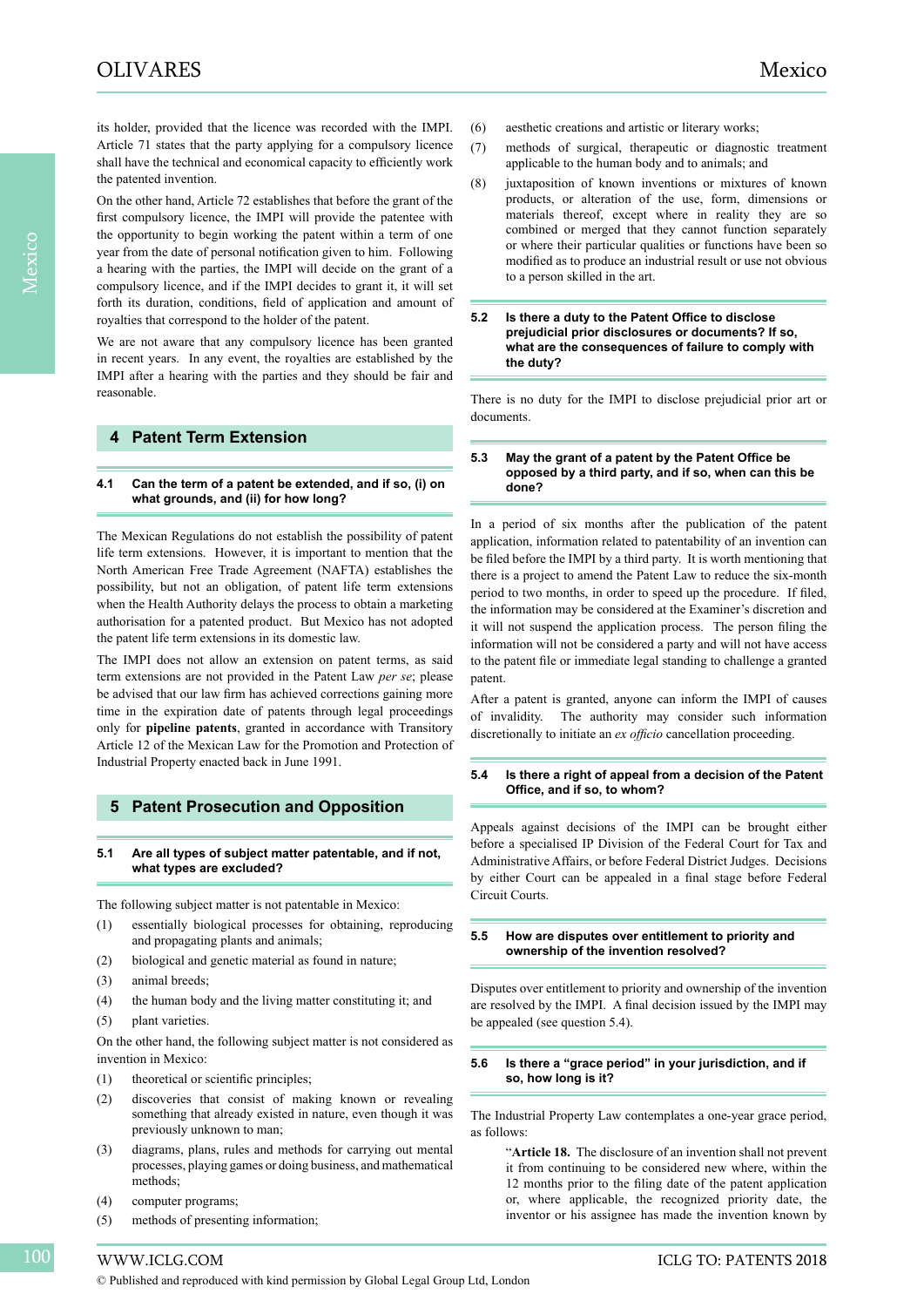its holder, provided that the licence was recorded with the IMPI. Article 71 states that the party applying for a compulsory licence shall have the technical and economical capacity to efficiently work the patented invention.

On the other hand, Article 72 establishes that before the grant of the first compulsory licence, the IMPI will provide the patentee with the opportunity to begin working the patent within a term of one year from the date of personal notification given to him. Following a hearing with the parties, the IMPI will decide on the grant of a compulsory licence, and if the IMPI decides to grant it, it will set forth its duration, conditions, field of application and amount of royalties that correspond to the holder of the patent.

We are not aware that any compulsory licence has been granted in recent years. In any event, the royalties are established by the IMPI after a hearing with the parties and they should be fair and reasonable.

# **4 Patent Term Extension**

#### **4.1 Can the term of a patent be extended, and if so, (i) on what grounds, and (ii) for how long?**

The Mexican Regulations do not establish the possibility of patent life term extensions. However, it is important to mention that the North American Free Trade Agreement (NAFTA) establishes the possibility, but not an obligation, of patent life term extensions when the Health Authority delays the process to obtain a marketing authorisation for a patented product. But Mexico has not adopted the patent life term extensions in its domestic law.

The IMPI does not allow an extension on patent terms, as said term extensions are not provided in the Patent Law *per se*; please be advised that our law firm has achieved corrections gaining more time in the expiration date of patents through legal proceedings only for **pipeline patents**, granted in accordance with Transitory Article 12 of the Mexican Law for the Promotion and Protection of Industrial Property enacted back in June 1991.

## **5 Patent Prosecution and Opposition**

#### **5.1 Are all types of subject matter patentable, and if not, what types are excluded?**

The following subject matter is not patentable in Mexico:

- (1) essentially biological processes for obtaining, reproducing and propagating plants and animals;
- (2) biological and genetic material as found in nature;
- (3) animal breeds;
- (4) the human body and the living matter constituting it; and
- (5) plant varieties.

On the other hand, the following subject matter is not considered as invention in Mexico:

- (1) theoretical or scientific principles;
- (2) discoveries that consist of making known or revealing something that already existed in nature, even though it was previously unknown to man;
- (3) diagrams, plans, rules and methods for carrying out mental processes, playing games or doing business, and mathematical methods;
- (4) computer programs;
- (5) methods of presenting information;
- (6) aesthetic creations and artistic or literary works;
- (7) methods of surgical, therapeutic or diagnostic treatment applicable to the human body and to animals; and
- (8) juxtaposition of known inventions or mixtures of known products, or alteration of the use, form, dimensions or materials thereof, except where in reality they are so combined or merged that they cannot function separately or where their particular qualities or functions have been so modified as to produce an industrial result or use not obvious to a person skilled in the art.
- **5.2 Is there a duty to the Patent Office to disclose prejudicial prior disclosures or documents? If so, what are the consequences of failure to comply with the duty?**

There is no duty for the IMPI to disclose prejudicial prior art or documents.

#### **5.3 May the grant of a patent by the Patent Office be opposed by a third party, and if so, when can this be done?**

In a period of six months after the publication of the patent application, information related to patentability of an invention can be filed before the IMPI by a third party. It is worth mentioning that there is a project to amend the Patent Law to reduce the six-month period to two months, in order to speed up the procedure. If filed, the information may be considered at the Examiner's discretion and it will not suspend the application process. The person filing the information will not be considered a party and will not have access to the patent file or immediate legal standing to challenge a granted patent.

After a patent is granted, anyone can inform the IMPI of causes of invalidity. The authority may consider such information discretionally to initiate an *ex officio* cancellation proceeding.

#### **5.4 Is there a right of appeal from a decision of the Patent Office, and if so, to whom?**

Appeals against decisions of the IMPI can be brought either before a specialised IP Division of the Federal Court for Tax and Administrative Affairs, or before Federal District Judges. Decisions by either Court can be appealed in a final stage before Federal Circuit Courts.

#### **5.5 How are disputes over entitlement to priority and ownership of the invention resolved?**

Disputes over entitlement to priority and ownership of the invention are resolved by the IMPI. A final decision issued by the IMPI may be appealed (see question 5.4).

#### **5.6 Is there a "grace period" in your jurisdiction, and if so, how long is it?**

The Industrial Property Law contemplates a one-year grace period, as follows:

"**Article 18.** The disclosure of an invention shall not prevent it from continuing to be considered new where, within the 12 months prior to the filing date of the patent application or, where applicable, the recognized priority date, the inventor or his assignee has made the invention known by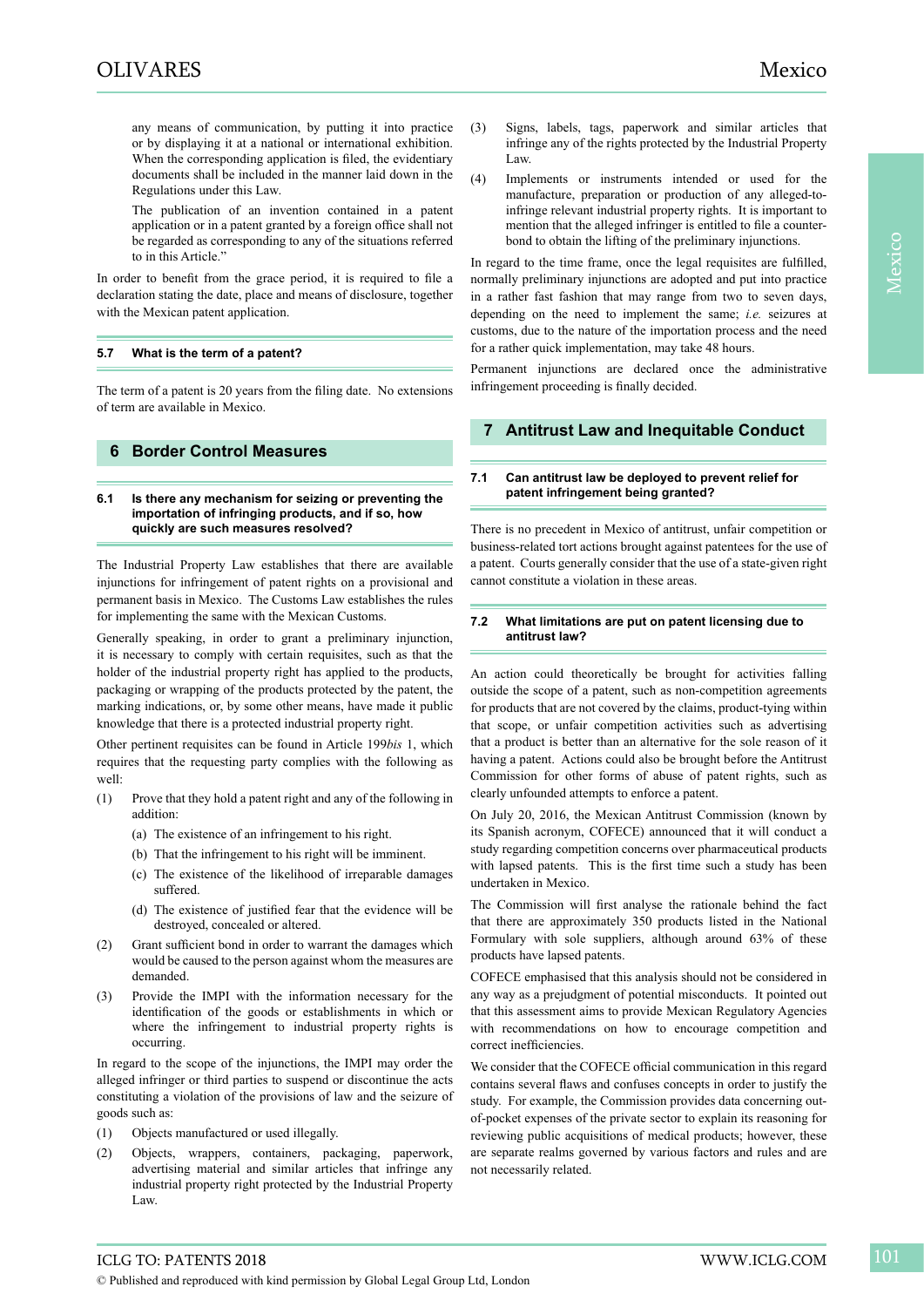any means of communication, by putting it into practice or by displaying it at a national or international exhibition. When the corresponding application is filed, the evidentiary documents shall be included in the manner laid down in the Regulations under this Law.

The publication of an invention contained in a patent application or in a patent granted by a foreign office shall not be regarded as corresponding to any of the situations referred to in this Article."

In order to benefit from the grace period, it is required to file a declaration stating the date, place and means of disclosure, together with the Mexican patent application.

#### **5.7 What is the term of a patent?**

The term of a patent is 20 years from the filing date. No extensions of term are available in Mexico.

## **6 Border Control Measures**

#### **6.1 Is there any mechanism for seizing or preventing the importation of infringing products, and if so, how quickly are such measures resolved?**

The Industrial Property Law establishes that there are available injunctions for infringement of patent rights on a provisional and permanent basis in Mexico. The Customs Law establishes the rules for implementing the same with the Mexican Customs.

Generally speaking, in order to grant a preliminary injunction, it is necessary to comply with certain requisites, such as that the holder of the industrial property right has applied to the products, packaging or wrapping of the products protected by the patent, the marking indications, or, by some other means, have made it public knowledge that there is a protected industrial property right.

Other pertinent requisites can be found in Article 199*bis* 1, which requires that the requesting party complies with the following as well:

- (1) Prove that they hold a patent right and any of the following in addition:
	- (a) The existence of an infringement to his right.
	- (b) That the infringement to his right will be imminent.
	- (c) The existence of the likelihood of irreparable damages suffered.
	- (d) The existence of justified fear that the evidence will be destroyed, concealed or altered.
- (2) Grant sufficient bond in order to warrant the damages which would be caused to the person against whom the measures are demanded.
- (3) Provide the IMPI with the information necessary for the identification of the goods or establishments in which or where the infringement to industrial property rights is occurring.

In regard to the scope of the injunctions, the IMPI may order the alleged infringer or third parties to suspend or discontinue the acts constituting a violation of the provisions of law and the seizure of goods such as:

- (1) Objects manufactured or used illegally.
- (2) Objects, wrappers, containers, packaging, paperwork, advertising material and similar articles that infringe any industrial property right protected by the Industrial Property Law.
- (3) Signs, labels, tags, paperwork and similar articles that infringe any of the rights protected by the Industrial Property Law.
- (4) Implements or instruments intended or used for the manufacture, preparation or production of any alleged-toinfringe relevant industrial property rights. It is important to mention that the alleged infringer is entitled to file a counterbond to obtain the lifting of the preliminary injunctions.

In regard to the time frame, once the legal requisites are fulfilled, normally preliminary injunctions are adopted and put into practice in a rather fast fashion that may range from two to seven days, depending on the need to implement the same; *i.e.* seizures at customs, due to the nature of the importation process and the need for a rather quick implementation, may take 48 hours.

Permanent injunctions are declared once the administrative infringement proceeding is finally decided.

# **7 Antitrust Law and Inequitable Conduct**

#### **7.1 Can antitrust law be deployed to prevent relief for patent infringement being granted?**

There is no precedent in Mexico of antitrust, unfair competition or business-related tort actions brought against patentees for the use of a patent. Courts generally consider that the use of a state-given right cannot constitute a violation in these areas.

#### **7.2 What limitations are put on patent licensing due to antitrust law?**

An action could theoretically be brought for activities falling outside the scope of a patent, such as non-competition agreements for products that are not covered by the claims, product-tying within that scope, or unfair competition activities such as advertising that a product is better than an alternative for the sole reason of it having a patent. Actions could also be brought before the Antitrust Commission for other forms of abuse of patent rights, such as clearly unfounded attempts to enforce a patent.

On July 20, 2016, the Mexican Antitrust Commission (known by its Spanish acronym, COFECE) announced that it will conduct a study regarding competition concerns over pharmaceutical products with lapsed patents. This is the first time such a study has been undertaken in Mexico.

The Commission will first analyse the rationale behind the fact that there are approximately 350 products listed in the National Formulary with sole suppliers, although around 63% of these products have lapsed patents.

COFECE emphasised that this analysis should not be considered in any way as a prejudgment of potential misconducts. It pointed out that this assessment aims to provide Mexican Regulatory Agencies with recommendations on how to encourage competition and correct inefficiencies.

We consider that the COFECE official communication in this regard contains several flaws and confuses concepts in order to justify the study. For example, the Commission provides data concerning outof-pocket expenses of the private sector to explain its reasoning for reviewing public acquisitions of medical products; however, these are separate realms governed by various factors and rules and are not necessarily related.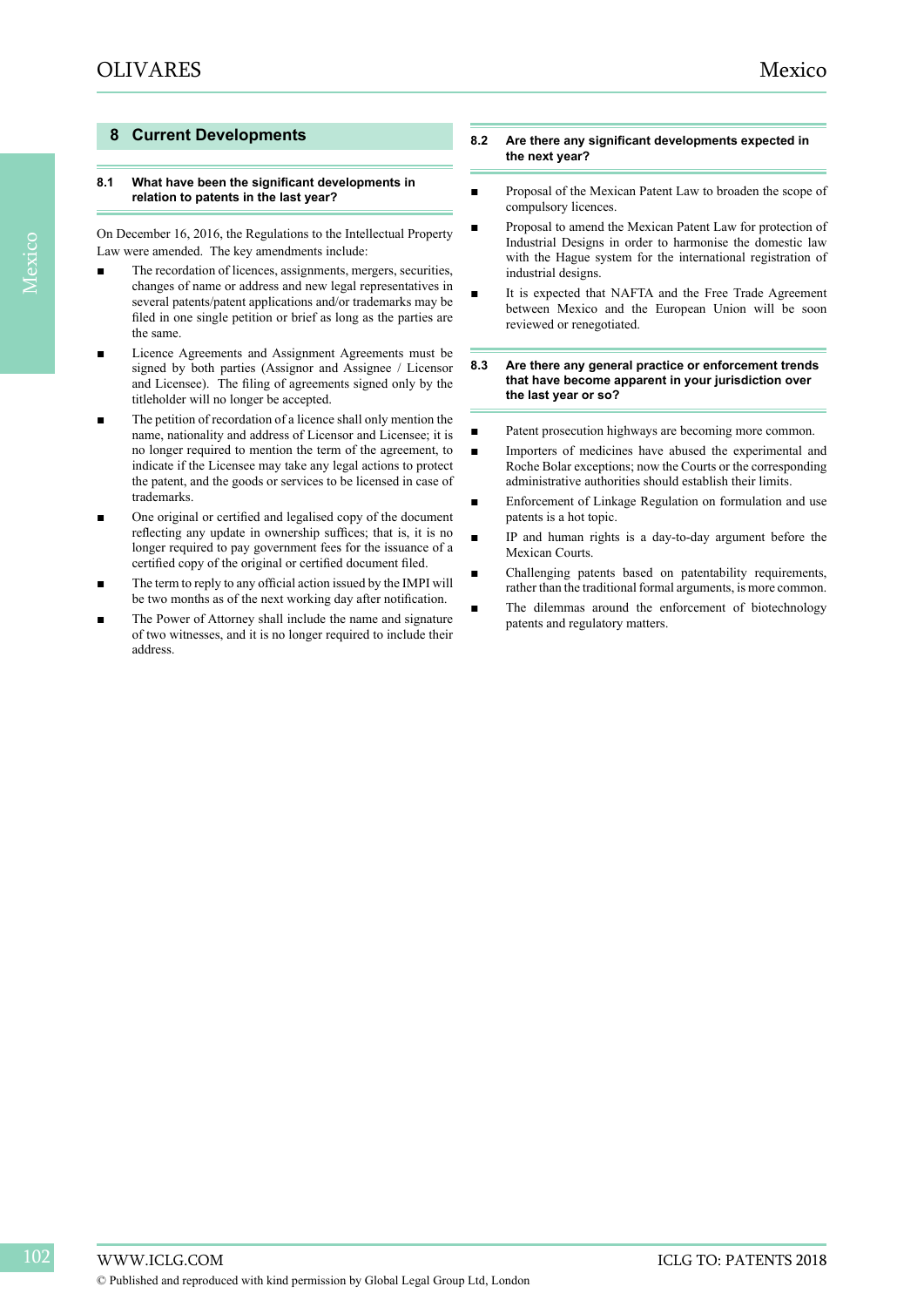# **8 Current Developments**

#### **8.1 What have been the significant developments in relation to patents in the last year?**

On December 16, 2016, the Regulations to the Intellectual Property Law were amended. The key amendments include:

- The recordation of licences, assignments, mergers, securities, changes of name or address and new legal representatives in several patents/patent applications and/or trademarks may be filed in one single petition or brief as long as the parties are the same.
- Licence Agreements and Assignment Agreements must be signed by both parties (Assignor and Assignee / Licensor and Licensee). The filing of agreements signed only by the titleholder will no longer be accepted.
- The petition of recordation of a licence shall only mention the name, nationality and address of Licensor and Licensee; it is no longer required to mention the term of the agreement, to indicate if the Licensee may take any legal actions to protect the patent, and the goods or services to be licensed in case of trademarks.
- One original or certified and legalised copy of the document reflecting any update in ownership suffices; that is, it is no longer required to pay government fees for the issuance of a certified copy of the original or certified document filed.
- The term to reply to any official action issued by the IMPI will be two months as of the next working day after notification.
- The Power of Attorney shall include the name and signature of two witnesses, and it is no longer required to include their address.

#### **8.2 Are there any significant developments expected in the next year?**

- Proposal of the Mexican Patent Law to broaden the scope of compulsory licences.
- Proposal to amend the Mexican Patent Law for protection of Industrial Designs in order to harmonise the domestic law with the Hague system for the international registration of industrial designs.
- It is expected that NAFTA and the Free Trade Agreement between Mexico and the European Union will be soon reviewed or renegotiated.
- **8.3 Are there any general practice or enforcement trends that have become apparent in your jurisdiction over the last year or so?**
- Patent prosecution highways are becoming more common.
- Importers of medicines have abused the experimental and Roche Bolar exceptions; now the Courts or the corresponding administrative authorities should establish their limits.
- Enforcement of Linkage Regulation on formulation and use patents is a hot topic.
- IP and human rights is a day-to-day argument before the Mexican Courts.
- Challenging patents based on patentability requirements, rather than the traditional formal arguments, is more common.
- The dilemmas around the enforcement of biotechnology patents and regulatory matters.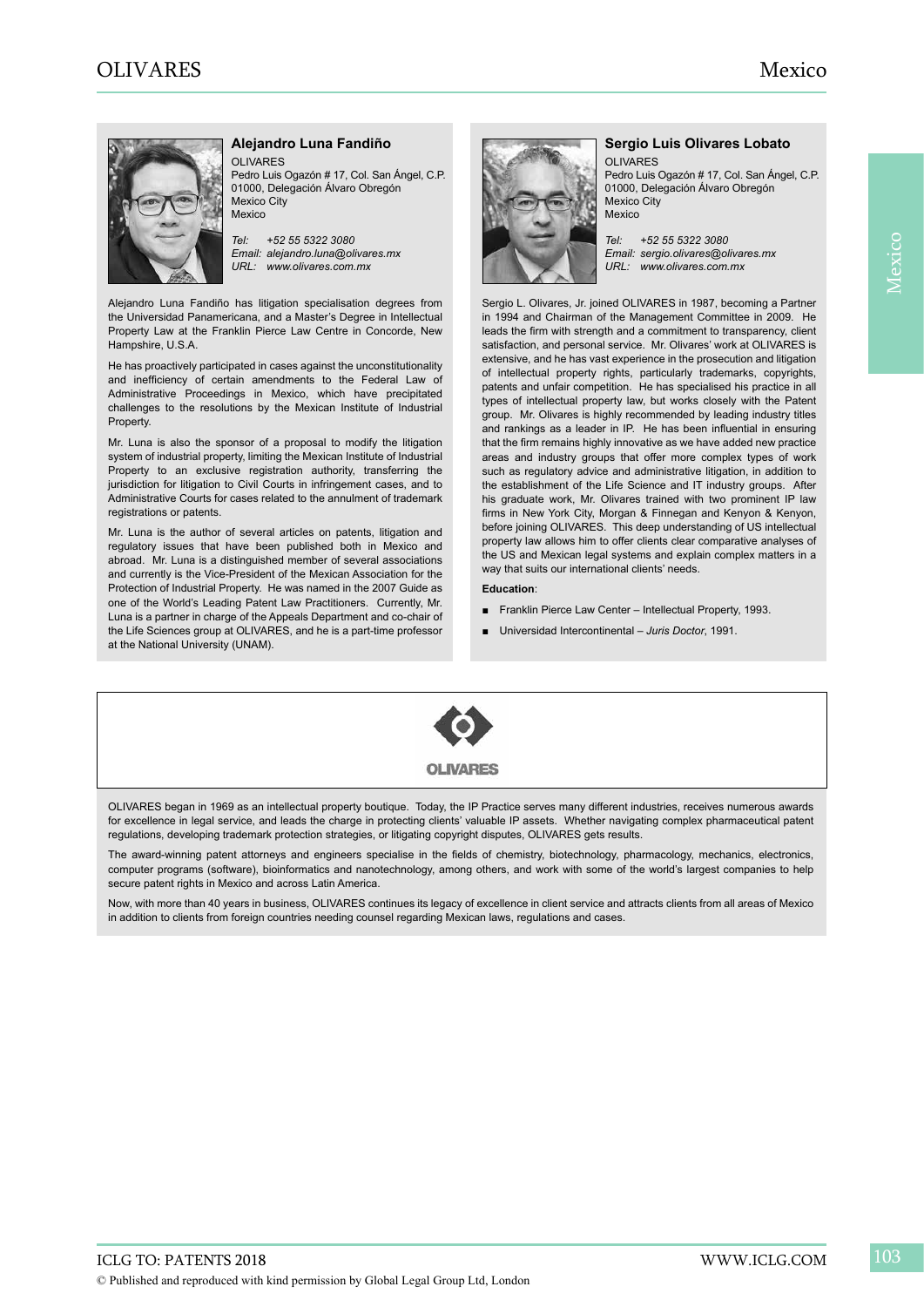

## **Alejandro Luna Fandiño**

OLIVARES Pedro Luis Ogazón # 17, Col. San Ángel, C.P. 01000, Delegación Álvaro Obregón Mexico City

*Tel: +52 55 5322 3080 Email: alejandro.luna@olivares.mx URL: www.olivares.com.mx*

Alejandro Luna Fandiño has litigation specialisation degrees from the Universidad Panamericana, and a Master's Degree in Intellectual Property Law at the Franklin Pierce Law Centre in Concorde, New Hampshire, U.S.A.

He has proactively participated in cases against the unconstitutionality and inefficiency of certain amendments to the Federal Law of Administrative Proceedings in Mexico, which have precipitated challenges to the resolutions by the Mexican Institute of Industrial Property.

Mr. Luna is also the sponsor of a proposal to modify the litigation system of industrial property, limiting the Mexican Institute of Industrial Property to an exclusive registration authority, transferring the jurisdiction for litigation to Civil Courts in infringement cases, and to Administrative Courts for cases related to the annulment of trademark registrations or patents.

Mr. Luna is the author of several articles on patents, litigation and regulatory issues that have been published both in Mexico and abroad. Mr. Luna is a distinguished member of several associations and currently is the Vice-President of the Mexican Association for the Protection of Industrial Property. He was named in the 2007 Guide as one of the World's Leading Patent Law Practitioners. Currently, Mr. Luna is a partner in charge of the Appeals Department and co-chair of the Life Sciences group at OLIVARES, and he is a part-time professor at the National University (UNAM).



#### **Sergio Luis Olivares Lobato** OLIVARES

Pedro Luis Ogazón # 17, Col. San Ángel, C.P. 01000, Delegación Álvaro Obregón Mexico City Mexico

*Tel: +52 55 5322 3080 Email: sergio.olivares@olivares.mx URL: www.olivares.com.mx*

Sergio L. Olivares, Jr. joined OLIVARES in 1987, becoming a Partner in 1994 and Chairman of the Management Committee in 2009. He leads the firm with strength and a commitment to transparency, client satisfaction, and personal service. Mr. Olivares' work at OLIVARES is extensive, and he has vast experience in the prosecution and litigation of intellectual property rights, particularly trademarks, copyrights, patents and unfair competition. He has specialised his practice in all types of intellectual property law, but works closely with the Patent group. Mr. Olivares is highly recommended by leading industry titles and rankings as a leader in IP. He has been influential in ensuring that the firm remains highly innovative as we have added new practice areas and industry groups that offer more complex types of work such as regulatory advice and administrative litigation, in addition to the establishment of the Life Science and IT industry groups. After his graduate work, Mr. Olivares trained with two prominent IP law firms in New York City, Morgan & Finnegan and Kenyon & Kenyon, before joining OLIVARES. This deep understanding of US intellectual property law allows him to offer clients clear comparative analyses of the US and Mexican legal systems and explain complex matters in a way that suits our international clients' needs.

#### **Education**:

- Franklin Pierce Law Center Intellectual Property, 1993.
- Universidad Intercontinental *Juris Doctor*, 1991.



OL IVARES

OLIVARES began in 1969 as an intellectual property boutique. Today, the IP Practice serves many different industries, receives numerous awards for excellence in legal service, and leads the charge in protecting clients' valuable IP assets. Whether navigating complex pharmaceutical patent regulations, developing trademark protection strategies, or litigating copyright disputes, OLIVARES gets results.

The award-winning patent attorneys and engineers specialise in the fields of chemistry, biotechnology, pharmacology, mechanics, electronics, computer programs (software), bioinformatics and nanotechnology, among others, and work with some of the world's largest companies to help secure patent rights in Mexico and across Latin America.

Now, with more than 40 years in business, OLIVARES continues its legacy of excellence in client service and attracts clients from all areas of Mexico in addition to clients from foreign countries needing counsel regarding Mexican laws, regulations and cases.